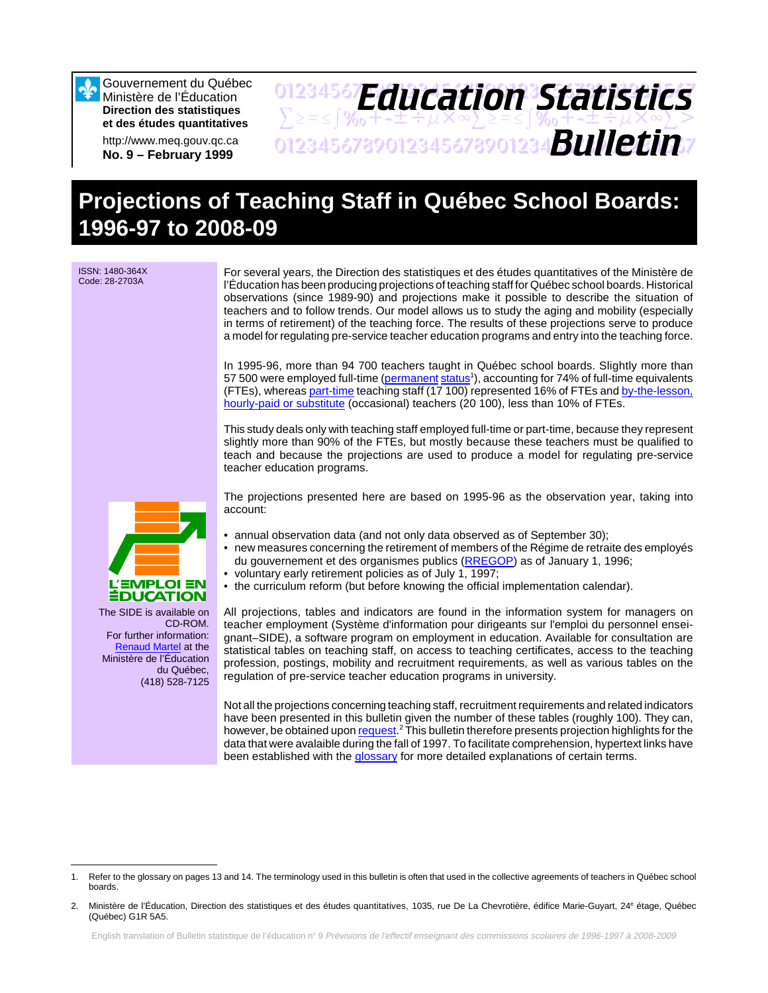

Gouvernement du Québec Ministère de l'Éducation **Direction des statistiques et des études quantitatives**

http://www.meq.gouv.qc.ca **No. 9 – February 1999**

# 01234567**F***Anri Stion Statictice*  $\sum z \approx \int \mathcal{X}_0 + \pm \pm \div \mu \times \infty$  $\sum z \approx \pm \int \mathcal{X}_0 + \pm \pm \div \mu \times \infty$  $\sum >$ 01234567890123456789012345678901234567 *Bulletin Education Statistics*

# **Projections of Teaching Staff in Québec School Boards: 1996-97 to 2008-09**

ISSN: 1480-364X Code: 28-2703A

For several years, the Direction des statistiques et des études quantitatives of the Ministère de l'Éducation has been producing projections of teaching staff for Québec school boards. Historical observations (since 1989-90) and projections make it possible to describe the situation of teachers and to follow trends. Our model allows us to study the aging and mobility (especially in terms of retirement) of the teaching force. The results of these projections serve to produce a model for regulating pre-service teacher education programs and entry into the teaching force.

In 1995-96, more than 94 700 teachers taught in Québec school boards. Slightly more than 57 500 were employed full-time [\(permanent](#page-12-0) status<sup>1</sup>), accounting for 74% of full-time equivalents (FTEs), wherea[s part-time t](#page-11-0)eaching staff (17 100) represented 16% of FTEs and [by-the-lesson,](#page-11-0) [hourly-paid or substitute \(](#page-11-0)occasional) teachers (20 100), less than 10% of FTEs.

This study deals only with teaching staff employed full-time or part-time, because they represent slightly more than 90% of the FTEs, but mostly because these teachers must be qualified to teach and because the projections are used to produce a model for regulating pre-service teacher education programs.

The projections presented here are based on 1995-96 as the observation year, taking into account:

- annual observation data (and not only data observed as of September 30);
- new measures concerning the retirement of members of the Régime de retraite des employés du gouvernement et des organismes publics [\(RREGOP\)](#page-12-0) as of January 1, 1996;
- voluntary early retirement policies as of July 1, 1997;
- the curriculum reform (but before knowing the official implementation calendar).

All projections, tables and indicators are found in the information system for managers on teacher employment (Système d'information pour dirigeants sur l'emploi du personnel enseignant–SIDE), a software program on employment in education. Available for consultation are statistical tables on teaching staff, on access to teaching certificates, access to the teaching profession, postings, mobility and recruitment requirements, as well as various tables on the regulation of pre-service teacher education programs in university.

Not all the projections concerning teaching staff, recruitment requirements and related indicators have been presented in this bulletin given the number of these tables (roughly 100). They can, however, be obtained upon request.<sup>2</sup> This bulletin therefore presents projection highlights for the data that were avalaible during the fall of 1997. To facilitate comprehension, hypertext links have been established with th[e glossary fo](#page-11-0)r more detailed explanations of certain terms.



CD-ROM. For further information: Renaud Martel at the Ministère de l'Éducation du Québec, (418) 528-7125

<sup>1.</sup> Refer to the glossary on pages 13 and 14. The terminology used in this bulletin is often that used in the collective agreements of teachers in Québec school boards.

<sup>2.</sup> Ministère de l'Éducation, Direction des statistiques et des études quantitatives, 1035, rue De La Chevrotière, édifice Marie-Guyart, 24<sup>e</sup> étage, Québec (Québec) G1R 5A5.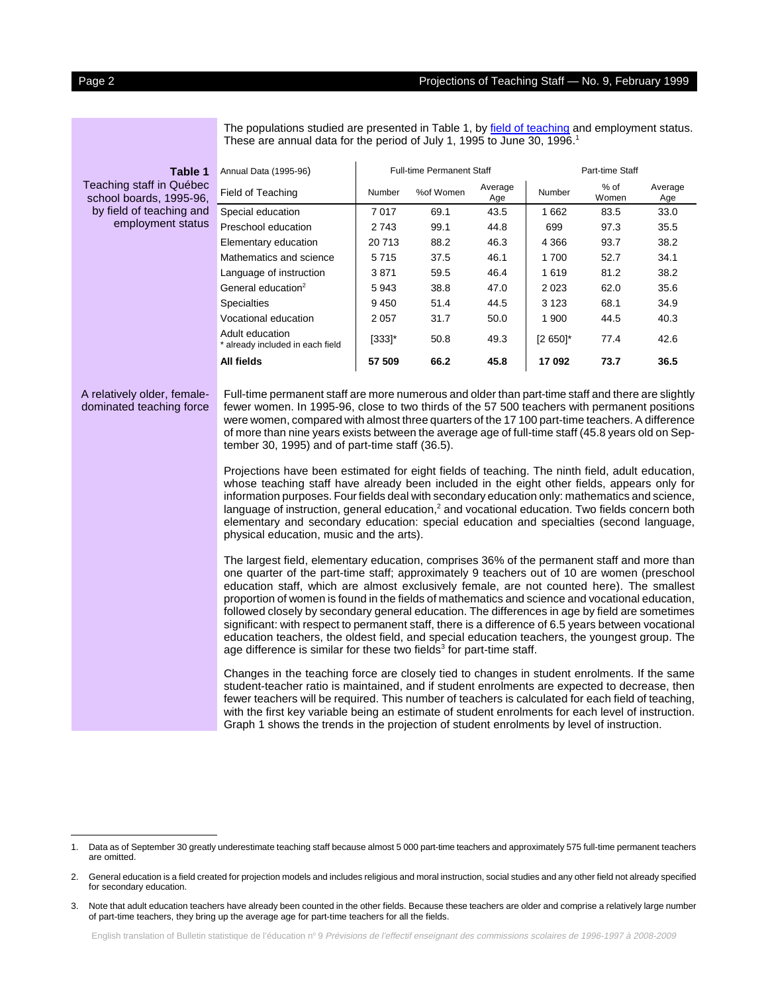|                                                     | These are annual data for the period of July 1, 1995 to June 30, 1996. <sup>1</sup>                                                                                                                                                                                                                                                                                                                                                                                                                                                                                                                                                                                                                                                                                                                                                                                                                                                                                                                                                                                                                                                                                                                                                                                                                                                                                                                                                                                                                                                                                                                                                                                                                                            |           |                                  |                |             |                 |                |  |  |  |
|-----------------------------------------------------|--------------------------------------------------------------------------------------------------------------------------------------------------------------------------------------------------------------------------------------------------------------------------------------------------------------------------------------------------------------------------------------------------------------------------------------------------------------------------------------------------------------------------------------------------------------------------------------------------------------------------------------------------------------------------------------------------------------------------------------------------------------------------------------------------------------------------------------------------------------------------------------------------------------------------------------------------------------------------------------------------------------------------------------------------------------------------------------------------------------------------------------------------------------------------------------------------------------------------------------------------------------------------------------------------------------------------------------------------------------------------------------------------------------------------------------------------------------------------------------------------------------------------------------------------------------------------------------------------------------------------------------------------------------------------------------------------------------------------------|-----------|----------------------------------|----------------|-------------|-----------------|----------------|--|--|--|
| Table 1                                             | Annual Data (1995-96)                                                                                                                                                                                                                                                                                                                                                                                                                                                                                                                                                                                                                                                                                                                                                                                                                                                                                                                                                                                                                                                                                                                                                                                                                                                                                                                                                                                                                                                                                                                                                                                                                                                                                                          |           | <b>Full-time Permanent Staff</b> |                |             | Part-time Staff |                |  |  |  |
| Teaching staff in Québec<br>school boards, 1995-96, | Field of Teaching                                                                                                                                                                                                                                                                                                                                                                                                                                                                                                                                                                                                                                                                                                                                                                                                                                                                                                                                                                                                                                                                                                                                                                                                                                                                                                                                                                                                                                                                                                                                                                                                                                                                                                              | Number    | %of Women                        | Average<br>Age | Number      | $%$ of<br>Women | Average<br>Age |  |  |  |
| by field of teaching and                            | Special education                                                                                                                                                                                                                                                                                                                                                                                                                                                                                                                                                                                                                                                                                                                                                                                                                                                                                                                                                                                                                                                                                                                                                                                                                                                                                                                                                                                                                                                                                                                                                                                                                                                                                                              | 7017      | 69.1                             | 43.5           | 1 6 6 2     | 83.5            | 33.0           |  |  |  |
| employment status                                   | Preschool education                                                                                                                                                                                                                                                                                                                                                                                                                                                                                                                                                                                                                                                                                                                                                                                                                                                                                                                                                                                                                                                                                                                                                                                                                                                                                                                                                                                                                                                                                                                                                                                                                                                                                                            | 2743      | 99.1                             | 44.8           | 699         | 97.3            | 35.5           |  |  |  |
|                                                     | Elementary education                                                                                                                                                                                                                                                                                                                                                                                                                                                                                                                                                                                                                                                                                                                                                                                                                                                                                                                                                                                                                                                                                                                                                                                                                                                                                                                                                                                                                                                                                                                                                                                                                                                                                                           | 20713     | 88.2                             | 46.3           | 4 3 6 6     | 93.7            | 38.2           |  |  |  |
|                                                     | Mathematics and science                                                                                                                                                                                                                                                                                                                                                                                                                                                                                                                                                                                                                                                                                                                                                                                                                                                                                                                                                                                                                                                                                                                                                                                                                                                                                                                                                                                                                                                                                                                                                                                                                                                                                                        | 5715      | 37.5                             | 46.1           | 1700        | 52.7            | 34.1           |  |  |  |
|                                                     | Language of instruction                                                                                                                                                                                                                                                                                                                                                                                                                                                                                                                                                                                                                                                                                                                                                                                                                                                                                                                                                                                                                                                                                                                                                                                                                                                                                                                                                                                                                                                                                                                                                                                                                                                                                                        | 3871      | 59.5                             | 46.4           | 1619        | 81.2            | 38.2           |  |  |  |
|                                                     | General education <sup>2</sup>                                                                                                                                                                                                                                                                                                                                                                                                                                                                                                                                                                                                                                                                                                                                                                                                                                                                                                                                                                                                                                                                                                                                                                                                                                                                                                                                                                                                                                                                                                                                                                                                                                                                                                 | 5943      | 38.8                             | 47.0           | 2 0 2 3     | 62.0            | 35.6           |  |  |  |
|                                                     | <b>Specialties</b>                                                                                                                                                                                                                                                                                                                                                                                                                                                                                                                                                                                                                                                                                                                                                                                                                                                                                                                                                                                                                                                                                                                                                                                                                                                                                                                                                                                                                                                                                                                                                                                                                                                                                                             | 9450      | 51.4                             | 44.5           | 3 1 2 3     | 68.1            | 34.9           |  |  |  |
|                                                     | Vocational education                                                                                                                                                                                                                                                                                                                                                                                                                                                                                                                                                                                                                                                                                                                                                                                                                                                                                                                                                                                                                                                                                                                                                                                                                                                                                                                                                                                                                                                                                                                                                                                                                                                                                                           | 2 0 5 7   | 31.7                             | 50.0           | 1 900       | 44.5            | 40.3           |  |  |  |
|                                                     | Adult education<br>* already included in each field                                                                                                                                                                                                                                                                                                                                                                                                                                                                                                                                                                                                                                                                                                                                                                                                                                                                                                                                                                                                                                                                                                                                                                                                                                                                                                                                                                                                                                                                                                                                                                                                                                                                            | $[333]$ * | 50.8                             | 49.3           | $[2 650]$ * | 77.4            | 42.6           |  |  |  |
|                                                     | All fields                                                                                                                                                                                                                                                                                                                                                                                                                                                                                                                                                                                                                                                                                                                                                                                                                                                                                                                                                                                                                                                                                                                                                                                                                                                                                                                                                                                                                                                                                                                                                                                                                                                                                                                     | 57 509    | 66.2                             | 45.8           | 17 092      | 73.7            | 36.5           |  |  |  |
|                                                     | dominated teaching force<br>fewer women. In 1995-96, close to two thirds of the 57 500 teachers with permanent positions<br>were women, compared with almost three quarters of the 17 100 part-time teachers. A difference<br>of more than nine years exists between the average age of full-time staff (45.8 years old on Sep-<br>tember 30, 1995) and of part-time staff (36.5).<br>Projections have been estimated for eight fields of teaching. The ninth field, adult education,<br>whose teaching staff have already been included in the eight other fields, appears only for<br>information purposes. Four fields deal with secondary education only: mathematics and science,<br>language of instruction, general education, $2$ and vocational education. Two fields concern both<br>elementary and secondary education: special education and specialties (second language,<br>physical education, music and the arts).<br>The largest field, elementary education, comprises 36% of the permanent staff and more than<br>one quarter of the part-time staff; approximately 9 teachers out of 10 are women (preschool<br>education staff, which are almost exclusively female, are not counted here). The smallest<br>proportion of women is found in the fields of mathematics and science and vocational education,<br>followed closely by secondary general education. The differences in age by field are sometimes<br>significant: with respect to permanent staff, there is a difference of 6.5 years between vocational<br>education teachers, the oldest field, and special education teachers, the youngest group. The<br>age difference is similar for these two fields <sup>3</sup> for part-time staff. |           |                                  |                |             |                 |                |  |  |  |
|                                                     |                                                                                                                                                                                                                                                                                                                                                                                                                                                                                                                                                                                                                                                                                                                                                                                                                                                                                                                                                                                                                                                                                                                                                                                                                                                                                                                                                                                                                                                                                                                                                                                                                                                                                                                                |           |                                  |                |             |                 |                |  |  |  |
|                                                     | Changes in the teaching force are closely tied to changes in student enrolments. If the same<br>student-teacher ratio is maintained, and if student enrolments are expected to decrease, then<br>fewer teachers will be required. This number of teachers is calculated for each field of teaching,<br>with the first key variable being an estimate of student enrolments for each level of instruction.                                                                                                                                                                                                                                                                                                                                                                                                                                                                                                                                                                                                                                                                                                                                                                                                                                                                                                                                                                                                                                                                                                                                                                                                                                                                                                                      |           |                                  |                |             |                 |                |  |  |  |

The populations studied are presented in Table 1, by [field of teaching a](#page-11-0)nd employment status.

Graph 1 shows the trends in the projection of student enrolments by level of instruction.

<sup>1.</sup> Data as of September 30 greatly underestimate teaching staff because almost 5 000 part-time teachers and approximately 575 full-time permanent teachers are omitted.

<sup>2.</sup> General education is a field created for projection models and includes religious and moral instruction, social studies and any other field not already specified for secondary education.

<sup>3.</sup> Note that adult education teachers have already been counted in the other fields. Because these teachers are older and comprise a relatively large number of part-time teachers, they bring up the average age for part-time teachers for all the fields.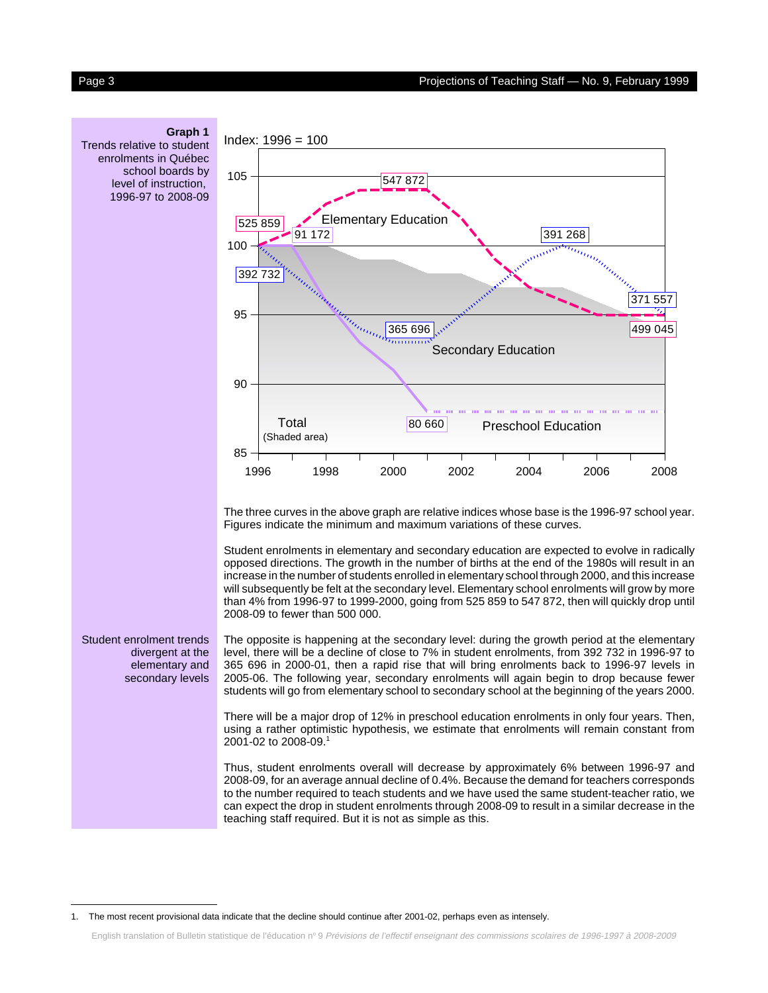<span id="page-2-0"></span>

<sup>1.</sup> The most recent provisional data indicate that the decline should continue after 2001-02, perhaps even as intensely.

English translation of Bulletin statistique de l'éducation nº 9 Prévisions de l'effectif enseignant des commissions scolaires de 1996-1997 à 2008-2009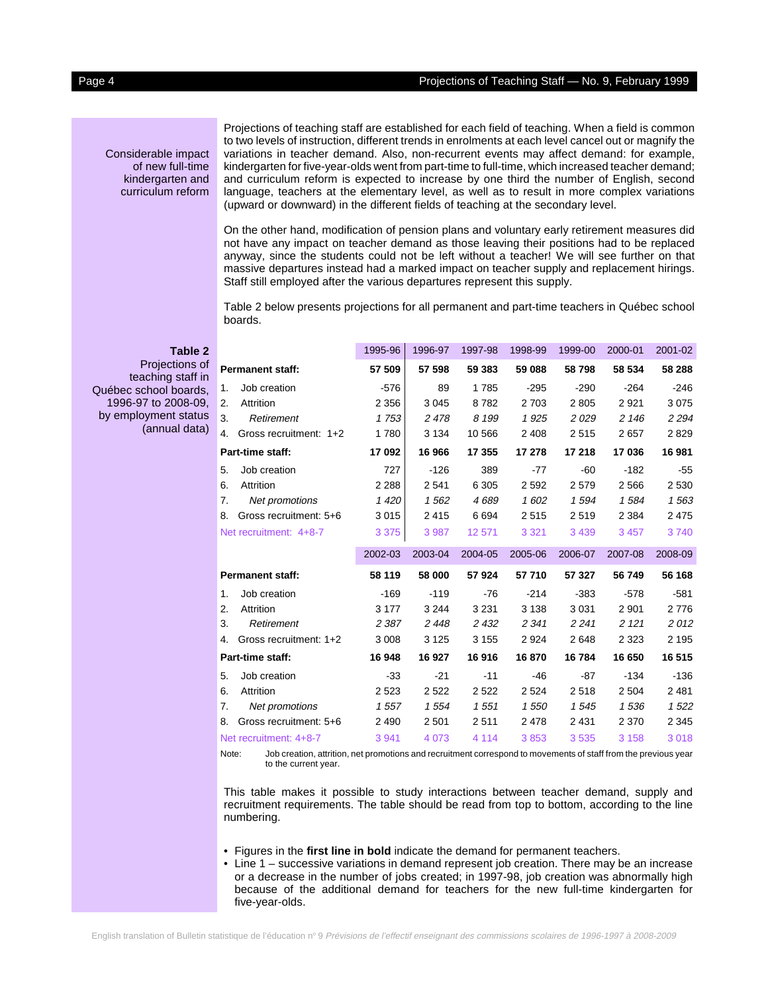<span id="page-3-0"></span>Considerable impact of new full-time kindergarten and curriculum reform

**Table 2** Projections of teaching staff in Québec school boards, 1996-97 to 2008-09, by employment status

(annual data)

Projections of teaching staff are established for each field of teaching. When a field is common to two levels of instruction, different trends in enrolments at each level cancel out or magnify the variations in teacher demand. Also, non-recurrent events may affect demand: for example, kindergarten for five-year-olds went from part-time to full-time, which increased teacher demand; and curriculum reform is expected to increase by one third the number of English, second language, teachers at the elementary level, as well as to result in more complex variations (upward or downward) in the different fields of teaching at the secondary level.

On the other hand, modification of pension plans and voluntary early retirement measures did not have any impact on teacher demand as those leaving their positions had to be replaced anyway, since the students could not be left without a teacher! We will see further on that massive departures instead had a marked impact on teacher supply and replacement hirings. Staff still employed after the various departures represent this supply.

Table 2 below presents projections for all permanent and part-time teachers in Québec school boards.

|    |                         | 1995-96 | 1996-97 | 1997-98 | 1998-99 | 1999-00 | 2000-01 | 2001-02 |
|----|-------------------------|---------|---------|---------|---------|---------|---------|---------|
|    | <b>Permanent staff:</b> | 57 509  | 57 598  | 59 383  | 59 088  | 58798   | 58 534  | 58 288  |
| 1. | Job creation            | $-576$  | 89      | 1785    | $-295$  | $-290$  | $-264$  | $-246$  |
| 2. | Attrition               | 2 3 5 6 | 3 0 4 5 | 8782    | 2 7 0 3 | 2805    | 2921    | 3075    |
| 3. | Retirement              | 1753    | 2478    | 8 1 9 9 | 1925    | 2029    | 2 1 4 6 | 2 2 9 4 |
| 4. | Gross recruitment: 1+2  | 1780    | 3 1 3 4 | 10 566  | 2 4 0 8 | 2515    | 2657    | 2829    |
|    | Part-time staff:        | 17092   | 16 966  | 17 355  | 17 278  | 17 218  | 17036   | 16 981  |
| 5. | Job creation            | 727     | $-126$  | 389     | $-77$   | -60     | $-182$  | $-55$   |
| 6. | Attrition               | 2 2 8 8 | 2541    | 6 3 0 5 | 2592    | 2579    | 2 5 6 6 | 2530    |
| 7. | Net promotions          | 1 4 20  | 1562    | 4689    | 1602    | 1594    | 1584    | 1563    |
| 8. | Gross recruitment: 5+6  | 3015    | 2415    | 6694    | 2515    | 2519    | 2 3 8 4 | 2 4 7 5 |
|    | Net recruitment: 4+8-7  | 3 3 7 5 | 3 9 8 7 | 12 571  | 3 3 2 1 | 3 4 3 9 | 3 4 5 7 | 3740    |
|    |                         |         |         |         |         |         |         |         |
|    |                         | 2002-03 | 2003-04 | 2004-05 | 2005-06 | 2006-07 | 2007-08 | 2008-09 |
|    | <b>Permanent staff:</b> | 58 119  | 58 000  | 57924   | 57 710  | 57 327  | 56 749  | 56 168  |
| 1. | Job creation            | $-169$  | $-119$  | -76     | $-214$  | $-383$  | $-578$  | $-581$  |
| 2. | Attrition               | 3 1 7 7 | 3 2 4 4 | 3 2 3 1 | 3 1 3 8 | 3 0 3 1 | 2 9 0 1 | 2776    |
| 3. | Retirement              | 2 3 8 7 | 2448    | 2 4 3 2 | 2 3 4 1 | 2 2 4 1 | 2 1 2 1 | 2012    |
| 4. | Gross recruitment: 1+2  | 3 0 0 8 | 3 1 2 5 | 3 1 5 5 | 2924    | 2648    | 2 3 2 3 | 2 1 9 5 |
|    | Part-time staff:        | 16 948  | 16 927  | 16916   | 16870   | 16784   | 16 650  | 16 515  |
| 5. | Job creation            | $-33$   | $-21$   | $-11$   | $-46$   | $-87$   | $-134$  | $-136$  |
| 6. | Attrition               | 2 5 2 3 | 2522    | 2 5 2 2 | 2 5 2 4 | 2518    | 2 5 0 4 | 2481    |
| 7. | Net promotions          | 1557    | 1554    | 1551    | 1 550   | 1545    | 1536    | 1522    |
| 8. | Gross recruitment: 5+6  | 2 4 9 0 | 2 5 0 1 | 2511    | 2478    | 2 4 3 1 | 2 3 7 0 | 2 3 4 5 |

Note: Job creation, attrition, net promotions and recruitment correspond to movements of staff from the previous year to the current year.

This table makes it possible to study interactions between teacher demand, supply and recruitment requirements. The table should be read from top to bottom, according to the line numbering.

- Figures in the **first line in bold** indicate the demand for permanent teachers.
- Line 1 successive variations in demand represent job creation. There may be an increase or a decrease in the number of jobs created; in 1997-98, job creation was abnormally high because of the additional demand for teachers for the new full-time kindergarten for five-year-olds.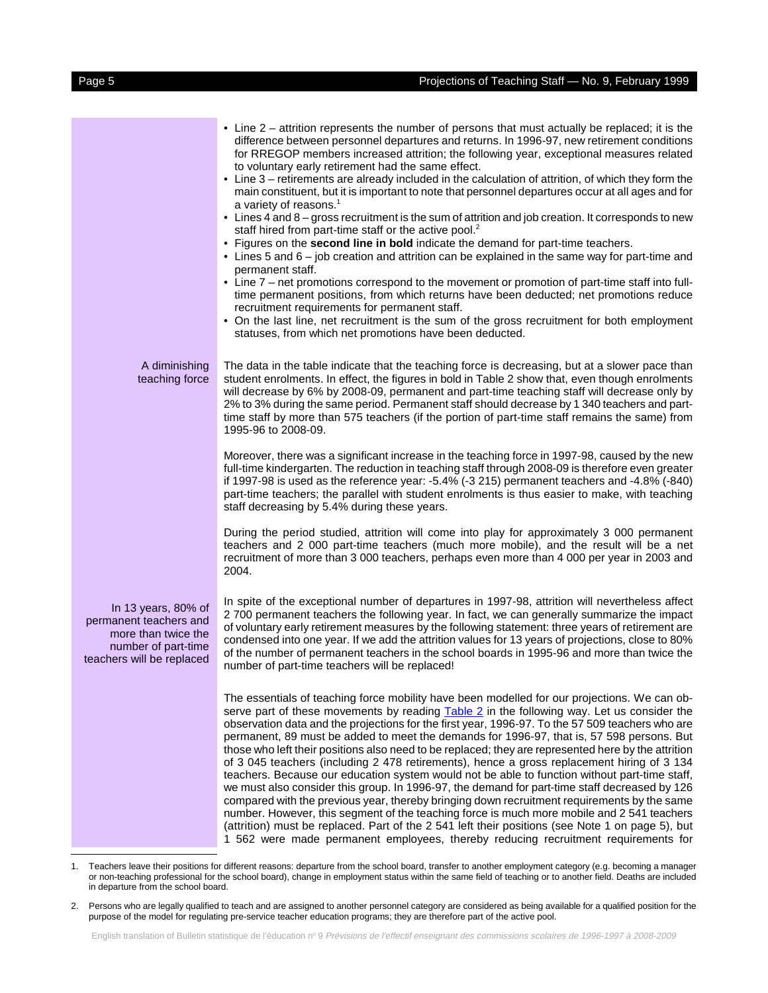|                                                                                                                          | • Line 2 – attrition represents the number of persons that must actually be replaced; it is the<br>difference between personnel departures and returns. In 1996-97, new retirement conditions<br>for RREGOP members increased attrition; the following year, exceptional measures related<br>to voluntary early retirement had the same effect.<br>• Line 3 – retirements are already included in the calculation of attrition, of which they form the<br>main constituent, but it is important to note that personnel departures occur at all ages and for<br>a variety of reasons. <sup>1</sup><br>• Lines 4 and 8 – gross recruitment is the sum of attrition and job creation. It corresponds to new<br>staff hired from part-time staff or the active pool. <sup>2</sup><br>• Figures on the second line in bold indicate the demand for part-time teachers.<br>• Lines 5 and 6 – job creation and attrition can be explained in the same way for part-time and<br>permanent staff.<br>• Line 7 – net promotions correspond to the movement or promotion of part-time staff into full-<br>time permanent positions, from which returns have been deducted; net promotions reduce<br>recruitment requirements for permanent staff.<br>• On the last line, net recruitment is the sum of the gross recruitment for both employment<br>statuses, from which net promotions have been deducted. |
|--------------------------------------------------------------------------------------------------------------------------|--------------------------------------------------------------------------------------------------------------------------------------------------------------------------------------------------------------------------------------------------------------------------------------------------------------------------------------------------------------------------------------------------------------------------------------------------------------------------------------------------------------------------------------------------------------------------------------------------------------------------------------------------------------------------------------------------------------------------------------------------------------------------------------------------------------------------------------------------------------------------------------------------------------------------------------------------------------------------------------------------------------------------------------------------------------------------------------------------------------------------------------------------------------------------------------------------------------------------------------------------------------------------------------------------------------------------------------------------------------------------------------------------|
| A diminishing<br>teaching force                                                                                          | The data in the table indicate that the teaching force is decreasing, but at a slower pace than<br>student enrolments. In effect, the figures in bold in Table 2 show that, even though enrolments<br>will decrease by 6% by 2008-09, permanent and part-time teaching staff will decrease only by<br>2% to 3% during the same period. Permanent staff should decrease by 1 340 teachers and part-<br>time staff by more than 575 teachers (if the portion of part-time staff remains the same) from<br>1995-96 to 2008-09.                                                                                                                                                                                                                                                                                                                                                                                                                                                                                                                                                                                                                                                                                                                                                                                                                                                                      |
|                                                                                                                          | Moreover, there was a significant increase in the teaching force in 1997-98, caused by the new<br>full-time kindergarten. The reduction in teaching staff through 2008-09 is therefore even greater<br>if 1997-98 is used as the reference year: -5.4% (-3 215) permanent teachers and -4.8% (-840)<br>part-time teachers; the parallel with student enrolments is thus easier to make, with teaching<br>staff decreasing by 5.4% during these years.                                                                                                                                                                                                                                                                                                                                                                                                                                                                                                                                                                                                                                                                                                                                                                                                                                                                                                                                            |
|                                                                                                                          | During the period studied, attrition will come into play for approximately 3 000 permanent<br>teachers and 2 000 part-time teachers (much more mobile), and the result will be a net<br>recruitment of more than 3 000 teachers, perhaps even more than 4 000 per year in 2003 and<br>2004.                                                                                                                                                                                                                                                                                                                                                                                                                                                                                                                                                                                                                                                                                                                                                                                                                                                                                                                                                                                                                                                                                                      |
| In 13 years, 80% of<br>permanent teachers and<br>more than twice the<br>number of part-time<br>teachers will be replaced | In spite of the exceptional number of departures in 1997-98, attrition will nevertheless affect<br>2 700 permanent teachers the following year. In fact, we can generally summarize the impact<br>of voluntary early retirement measures by the following statement: three years of retirement are<br>condensed into one year. If we add the attrition values for 13 years of projections, close to 80%<br>of the number of permanent teachers in the school boards in 1995-96 and more than twice the<br>number of part-time teachers will be replaced!                                                                                                                                                                                                                                                                                                                                                                                                                                                                                                                                                                                                                                                                                                                                                                                                                                         |
|                                                                                                                          | The essentials of teaching force mobility have been modelled for our projections. We can ob-<br>serve part of these movements by reading Table 2 in the following way. Let us consider the<br>observation data and the projections for the first year, 1996-97. To the 57 509 teachers who are<br>permanent, 89 must be added to meet the demands for 1996-97, that is, 57 598 persons. But<br>those who left their positions also need to be replaced; they are represented here by the attrition<br>of 3 045 teachers (including 2 478 retirements), hence a gross replacement hiring of 3 134<br>teachers. Because our education system would not be able to function without part-time staff,<br>we must also consider this group. In 1996-97, the demand for part-time staff decreased by 126<br>compared with the previous year, thereby bringing down recruitment requirements by the same<br>number. However, this segment of the teaching force is much more mobile and 2 541 teachers<br>(attrition) must be replaced. Part of the 2 541 left their positions (see Note 1 on page 5), but<br>1 562 were made permanent employees, thereby reducing recruitment requirements for                                                                                                                                                                                                        |

<sup>1.</sup> Teachers leave their positions for different reasons: departure from the school board, transfer to another employment category (e.g. becoming a manager or non-teaching professional for the school board), change in employment status within the same field of teaching or to another field. Deaths are included in departure from the school board.

<sup>2.</sup> Persons who are legally qualified to teach and are assigned to another personnel category are considered as being available for a qualified position for the purpose of the model for regulating pre-service teacher education programs; they are therefore part of the active pool.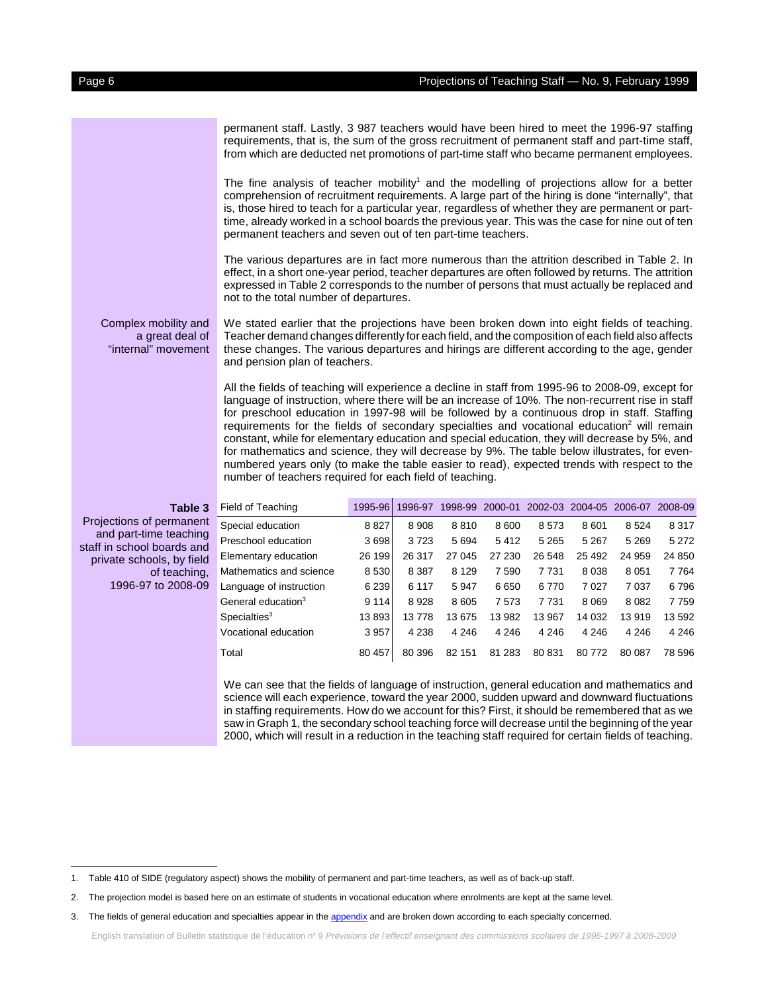permanent staff. Lastly, 3 987 teachers would have been hired to meet the 1996-97 staffing

<span id="page-5-0"></span>

|                                                                | permanent staff. Lastly, 3 987 teachers would have been nired to meet the 1996-97 staffing<br>requirements, that is, the sum of the gross recruitment of permanent staff and part-time staff,<br>from which are deducted net promotions of part-time staff who became permanent employees.                                                                                                                                                                                                                      |
|----------------------------------------------------------------|-----------------------------------------------------------------------------------------------------------------------------------------------------------------------------------------------------------------------------------------------------------------------------------------------------------------------------------------------------------------------------------------------------------------------------------------------------------------------------------------------------------------|
|                                                                | The fine analysis of teacher mobility <sup>1</sup> and the modelling of projections allow for a better<br>comprehension of recruitment requirements. A large part of the hiring is done "internally", that<br>is, those hired to teach for a particular year, regardless of whether they are permanent or part-<br>time, already worked in a school boards the previous year. This was the case for nine out of ten<br>permanent teachers and seven out of ten part-time teachers.                              |
|                                                                | The various departures are in fact more numerous than the attrition described in Table 2. In<br>effect, in a short one-year period, teacher departures are often followed by returns. The attrition<br>expressed in Table 2 corresponds to the number of persons that must actually be replaced and<br>not to the total number of departures.                                                                                                                                                                   |
| Complex mobility and<br>a great deal of<br>"internal" movement | We stated earlier that the projections have been broken down into eight fields of teaching.<br>Teacher demand changes differently for each field, and the composition of each field also affects<br>these changes. The various departures and hirings are different according to the age, gender<br>and pension plan of teachers.                                                                                                                                                                               |
|                                                                | All the fields of teaching will experience a decline in staff from 1995-96 to 2008-09, except for<br>language of instruction, where there will be an increase of 10%. The non-recurrent rise in staff<br>for preschool education in 1997-98 will be followed by a continuous drop in staff. Staffing<br>requirements for the fields of secondary specialties and vocational education <sup>2</sup> will remain<br>constant, while for elementary education and special education, they will decrease by 5%, and |

number of teachers required for each field of teaching.

**Table 3** Projections of permanent and part-time teaching staff in school boards and private schools, by field of teaching, 1996-97 to 2008-09 Field of Teaching 1995-96 1996-97 1998-99 2000-01 2002-03 2004-05 2006-07 2008-09 Special education 8 827 8 908 8 810 8 600 8 573 8 601 8 524 8 317 Preschool education 3 698 3 723 5 694 5 412 5 265 5 267 5 269 5 272 Elementary education 26 199 26 317 27 045 27 230 26 548 25 492 24 959 24 850 Mathematics and science 8 530 8 887 8 129 7 590 7 731 8 038 8 051 7 764 Language of instruction 6 239 6 117 5 947 6 650 6 770 7 027 7 037 6 796 General education<sup>3</sup> 9 114 8 928 8 605 7 573 7 731 8 069 8 082 7 759 Specialties3 13 893 13 778 13 675 13 982 13 967 14 032 13 919 13 592 Vocational education 3 957 4 238 4 246 4 246 4 246 4 246 4 246 4 246 Total 80 457 80 396 82 151 81 283 80 831 80 772 80 087 78 596

for mathematics and science, they will decrease by 9%. The table below illustrates, for evennumbered years only (to make the table easier to read), expected trends with respect to the

We can see that the fields of language of instruction, general education and mathematics and science will each experience, toward the year 2000, sudden upward and downward fluctuations in staffing requirements. How do we account for this? First, it should be remembered that as we saw in Graph 1, the secondary school teaching force will decrease until the beginning of the year 2000, which will result in a reduction in the teaching staff required for certain fields of teaching.

English translation of Bulletin statistique de l'éducation nº 9 Prévisions de l'effectif enseignant des commissions scolaires de 1996-1997 à 2008-2009

<sup>1.</sup> Table 410 of SIDE (regulatory aspect) shows the mobility of permanent and part-time teachers, as well as of back-up staff.

<sup>2.</sup> The projection model is based here on an estimate of students in vocational education where enrolments are kept at the same level.

<sup>3.</sup> The fields of general education and specialties appear in th[e appendix a](#page-12-0)nd are broken down according to each specialty concerned.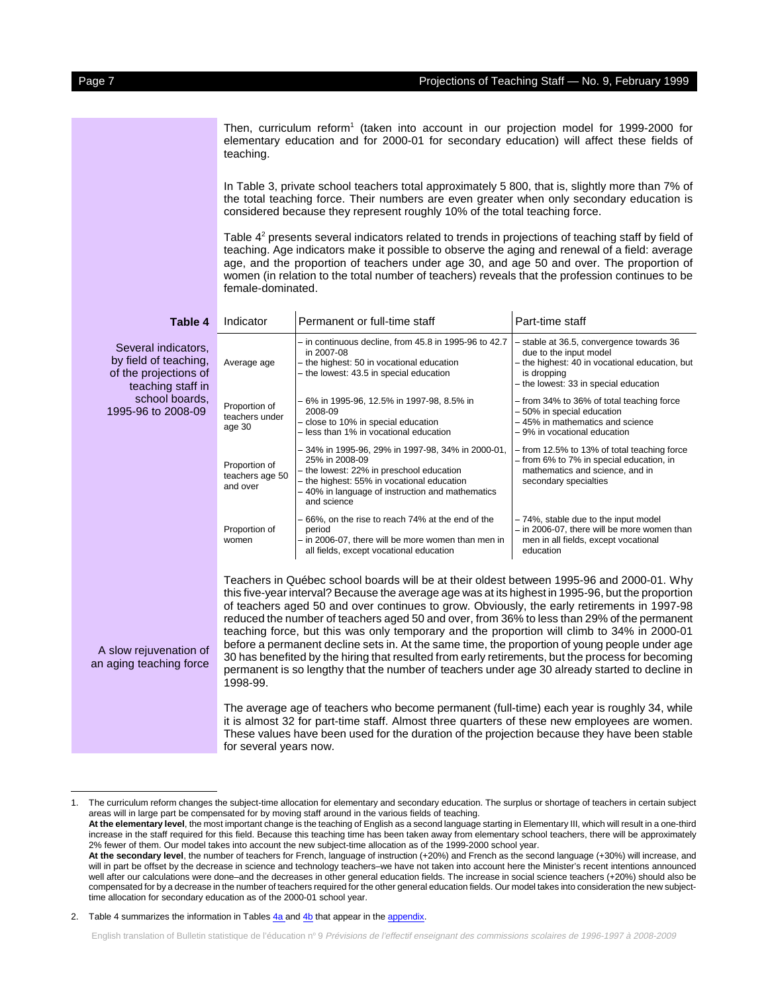<span id="page-6-0"></span>Then, curriculum reform<sup>1</sup> (taken into account in our projection model for 1999-2000 for elementary education and for 2000-01 for secondary education) will affect these fields of teaching.

In Table 3, private school teachers total approximately 5 800, that is, slightly more than 7% of the total teaching force. Their numbers are even greater when only secondary education is considered because they represent roughly 10% of the total teaching force.

Table 4<sup>2</sup> presents several indicators related to trends in projections of teaching staff by field of teaching. Age indicators make it possible to observe the aging and renewal of a field: average age, and the proportion of teachers under age 30, and age 50 and over. The proportion of women (in relation to the total number of teachers) reveals that the profession continues to be female-dominated.

| Table 4                                                                                    | Indicator                                                                                                                                                                                                                                                                                      | Permanent or full-time staff                                                                                                                                                                                                    | Part-time staff                                                                                                                                                              |  |  |  |
|--------------------------------------------------------------------------------------------|------------------------------------------------------------------------------------------------------------------------------------------------------------------------------------------------------------------------------------------------------------------------------------------------|---------------------------------------------------------------------------------------------------------------------------------------------------------------------------------------------------------------------------------|------------------------------------------------------------------------------------------------------------------------------------------------------------------------------|--|--|--|
| Several indicators,<br>by field of teaching,<br>of the projections of<br>teaching staff in | Average age                                                                                                                                                                                                                                                                                    | $-$ in continuous decline, from 45.8 in 1995-96 to 42.7<br>in 2007-08<br>- the highest: 50 in vocational education<br>- the lowest: 43.5 in special education                                                                   | - stable at 36.5, convergence towards 36<br>due to the input model<br>- the highest: 40 in vocational education, but<br>is dropping<br>- the lowest: 33 in special education |  |  |  |
| school boards,<br>1995-96 to 2008-09                                                       | Proportion of<br>teachers under<br>age 30                                                                                                                                                                                                                                                      | - 6% in 1995-96, 12.5% in 1997-98, 8.5% in<br>2008-09<br>- close to 10% in special education<br>- less than 1% in vocational education                                                                                          | - from 34% to 36% of total teaching force<br>- 50% in special education<br>- 45% in mathematics and science<br>- 9% in vocational education                                  |  |  |  |
|                                                                                            | Proportion of<br>teachers age 50<br>and over                                                                                                                                                                                                                                                   | - 34% in 1995-96, 29% in 1997-98, 34% in 2000-01,<br>25% in 2008-09<br>- the lowest: 22% in preschool education<br>- the highest: 55% in vocational education<br>-40% in language of instruction and mathematics<br>and science | - from 12.5% to 13% of total teaching force<br>- from 6% to 7% in special education, in<br>mathematics and science, and in<br>secondary specialties                          |  |  |  |
|                                                                                            | Proportion of<br>women                                                                                                                                                                                                                                                                         | - 66%, on the rise to reach 74% at the end of the<br>period<br>- in 2006-07, there will be more women than men in<br>all fields, except vocational education                                                                    | - 74%, stable due to the input model<br>- in 2006-07, there will be more women than<br>men in all fields, except vocational<br>education                                     |  |  |  |
|                                                                                            | Teachers in Québec school boards will be at their oldest between 1995-96 and 2000-01. Why<br>this five-year interval? Because the average age was at its highest in 1995-96, but the proportion<br>of teachers aged 50 and over continues to grow. Obviously, the early retirements in 1997-98 |                                                                                                                                                                                                                                 |                                                                                                                                                                              |  |  |  |

eachers aged 50 and over continues to grow. Obviously, the early retirements in 1997-98 reduced the number of teachers aged 50 and over, from 36% to less than 29% of the permanent teaching force, but this was only temporary and the proportion will climb to 34% in 2000-01 before a permanent decline sets in. At the same time, the proportion of young people under age 30 has benefited by the hiring that resulted from early retirements, but the process for becoming permanent is so lengthy that the number of teachers under age 30 already started to decline in 1998-99.

The average age of teachers who become permanent (full-time) each year is roughly 34, while it is almost 32 for part-time staff. Almost three quarters of these new employees are women. These values have been used for the duration of the projection because they have been stable for several years now.

A slow rejuvenation of an aging teaching force

<sup>1.</sup> The curriculum reform changes the subject-time allocation for elementary and secondary education. The surplus or shortage of teachers in certain subject areas will in large part be compensated for by moving staff around in the various fields of teaching.

**At the elementary level**, the most important change is the teaching of English as a second language starting in Elementary III, which will result in a one-third increase in the staff required for this field. Because this teaching time has been taken away from elementary school teachers, there will be approximately 2% fewer of them. Our model takes into account the new subject-time allocation as of the 1999-2000 school year.

**At the secondary level**, the number of teachers for French, language of instruction (+20%) and French as the second language (+30%) will increase, and will in part be offset by the decrease in science and technology teachers–we have not taken into account here the Minister's recent intentions announced well after our calculations were done–and the decreases in other general education fields. The increase in social science teachers (+20%) should also be compensated for by a decrease in the number of teachers required for the other general education fields. Our model takes into consideration the new subjecttime allocation for secondary education as of the 2000-01 school year.

<sup>2.</sup> Table 4 summarizes the information in Tables  $\frac{4a}{4b}$  and  $\frac{4b}{4b}$  that appear in th[e appendix.](#page-13-0)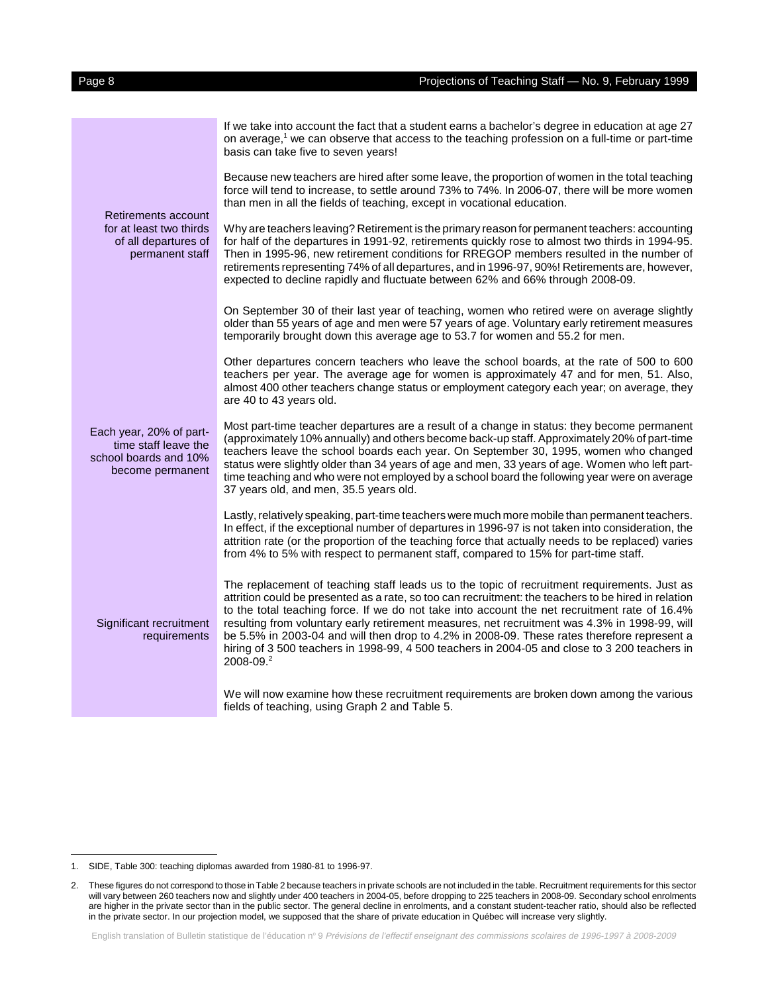|                                                                                              | If we take into account the fact that a student earns a bachelor's degree in education at age 27<br>on average, <sup>1</sup> we can observe that access to the teaching profession on a full-time or part-time<br>basis can take five to seven years!                                                                                                                                                                                                                                                                                                                                                               |
|----------------------------------------------------------------------------------------------|---------------------------------------------------------------------------------------------------------------------------------------------------------------------------------------------------------------------------------------------------------------------------------------------------------------------------------------------------------------------------------------------------------------------------------------------------------------------------------------------------------------------------------------------------------------------------------------------------------------------|
| Retirements account<br>for at least two thirds<br>of all departures of<br>permanent staff    | Because new teachers are hired after some leave, the proportion of women in the total teaching<br>force will tend to increase, to settle around 73% to 74%. In 2006-07, there will be more women<br>than men in all the fields of teaching, except in vocational education.                                                                                                                                                                                                                                                                                                                                         |
|                                                                                              | Why are teachers leaving? Retirement is the primary reason for permanent teachers: accounting<br>for half of the departures in 1991-92, retirements quickly rose to almost two thirds in 1994-95.<br>Then in 1995-96, new retirement conditions for RREGOP members resulted in the number of<br>retirements representing 74% of all departures, and in 1996-97, 90%! Retirements are, however,<br>expected to decline rapidly and fluctuate between 62% and 66% through 2008-09.                                                                                                                                    |
|                                                                                              | On September 30 of their last year of teaching, women who retired were on average slightly<br>older than 55 years of age and men were 57 years of age. Voluntary early retirement measures<br>temporarily brought down this average age to 53.7 for women and 55.2 for men.                                                                                                                                                                                                                                                                                                                                         |
|                                                                                              | Other departures concern teachers who leave the school boards, at the rate of 500 to 600<br>teachers per year. The average age for women is approximately 47 and for men, 51. Also,<br>almost 400 other teachers change status or employment category each year; on average, they<br>are 40 to 43 years old.                                                                                                                                                                                                                                                                                                        |
| Each year, 20% of part-<br>time staff leave the<br>school boards and 10%<br>become permanent | Most part-time teacher departures are a result of a change in status: they become permanent<br>(approximately 10% annually) and others become back-up staff. Approximately 20% of part-time<br>teachers leave the school boards each year. On September 30, 1995, women who changed<br>status were slightly older than 34 years of age and men, 33 years of age. Women who left part-<br>time teaching and who were not employed by a school board the following year were on average<br>37 years old, and men, 35.5 years old.                                                                                     |
|                                                                                              | Lastly, relatively speaking, part-time teachers were much more mobile than permanent teachers.<br>In effect, if the exceptional number of departures in 1996-97 is not taken into consideration, the<br>attrition rate (or the proportion of the teaching force that actually needs to be replaced) varies<br>from 4% to 5% with respect to permanent staff, compared to 15% for part-time staff.                                                                                                                                                                                                                   |
| Significant recruitment<br>requirements                                                      | The replacement of teaching staff leads us to the topic of recruitment requirements. Just as<br>attrition could be presented as a rate, so too can recruitment: the teachers to be hired in relation<br>to the total teaching force. If we do not take into account the net recruitment rate of 16.4%<br>resulting from voluntary early retirement measures, net recruitment was 4.3% in 1998-99, will<br>be 5.5% in 2003-04 and will then drop to 4.2% in 2008-09. These rates therefore represent a<br>hiring of 3 500 teachers in 1998-99, 4 500 teachers in 2004-05 and close to 3 200 teachers in<br>2008-09.2 |
|                                                                                              | We will now examine how these recruitment requirements are broken down among the various<br>fields of teaching, using Graph 2 and Table 5.                                                                                                                                                                                                                                                                                                                                                                                                                                                                          |

<sup>1.</sup> SIDE, Table 300: teaching diplomas awarded from 1980-81 to 1996-97.

<sup>2.</sup> These figures do not correspond to those in Table 2 because teachers in private schools are not included in the table. Recruitment requirements for this sector will vary between 260 teachers now and slightly under 400 teachers in 2004-05, before dropping to 225 teachers in 2008-09. Secondary school enrolments are higher in the private sector than in the public sector. The general decline in enrolments, and a constant student-teacher ratio, should also be reflected in the private sector. In our projection model, we supposed that the share of private education in Québec will increase very slightly.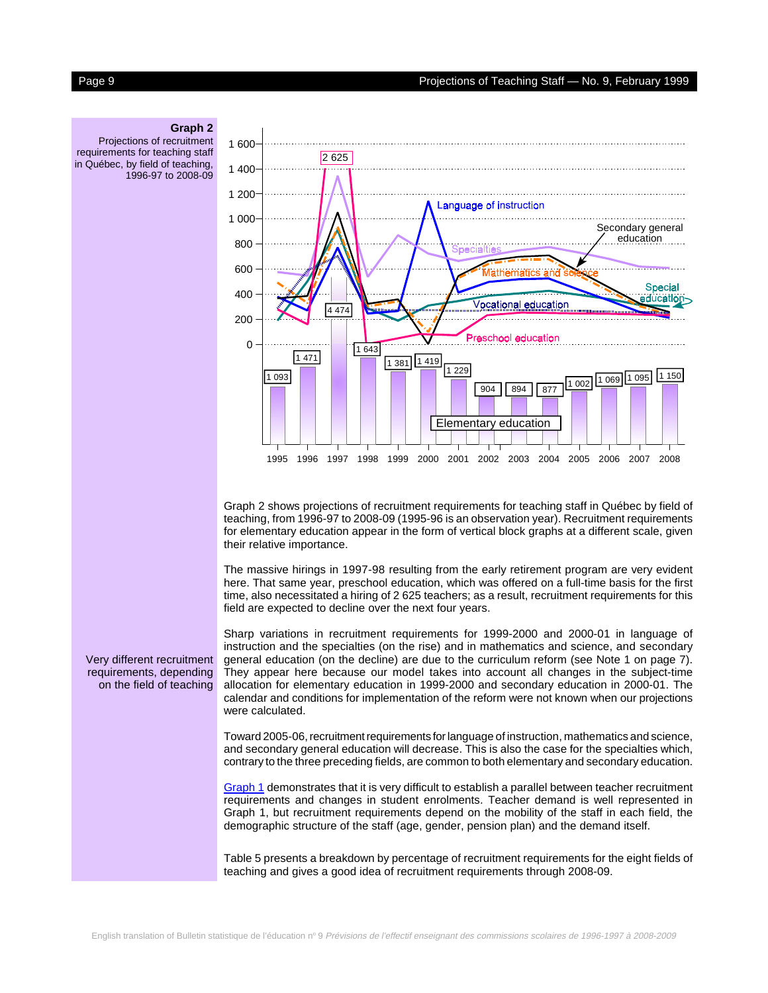

Graph 2 shows projections of recruitment requirements for teaching staff in Québec by field of teaching, from 1996-97 to 2008-09 (1995-96 is an observation year). Recruitment requirements for elementary education appear in the form of vertical block graphs at a different scale, given their relative importance.

The massive hirings in 1997-98 resulting from the early retirement program are very evident here. That same year, preschool education, which was offered on a full-time basis for the first time, also necessitated a hiring of 2 625 teachers; as a result, recruitment requirements for this field are expected to decline over the next four years.

Sharp variations in recruitment requirements for 1999-2000 and 2000-01 in language of instruction and the specialties (on the rise) and in mathematics and science, and secondary general education (on the decline) are due to the curriculum reform (see Note 1 on page 7). They appear here because our model takes into account all changes in the subject-time allocation for elementary education in 1999-2000 and secondary education in 2000-01. The calendar and conditions for implementation of the reform were not known when our projections were calculated.

Toward 2005-06, recruitment requirements for language of instruction, mathematics and science, and secondary general education will decrease. This is also the case for the specialties which, contrary to the three preceding fields, are common to both elementary and secondary education.

[Graph 1 d](#page-2-0)emonstrates that it is very difficult to establish a parallel between teacher recruitment requirements and changes in student enrolments. Teacher demand is well represented in Graph 1, but recruitment requirements depend on the mobility of the staff in each field, the demographic structure of the staff (age, gender, pension plan) and the demand itself.

Table 5 presents a breakdown by percentage of recruitment requirements for the eight fields of teaching and gives a good idea of recruitment requirements through 2008-09.

### **Graph 2** Projections of recruitment

requirements for teaching staff in Québec, by field of teaching, 1996-97 to 2008-09

Very different recruitment requirements, depending on the field of teaching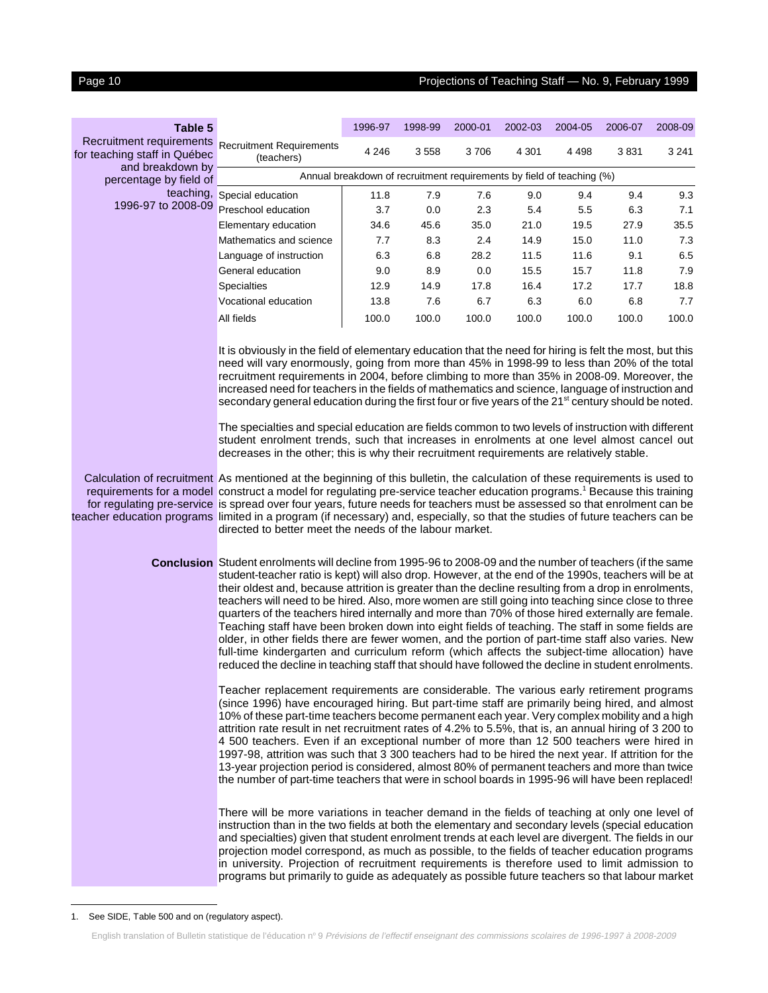### Page 10 Projections of Teaching Staff — No. 9, February 1999

<sup>1.</sup> See SIDE, Table 500 and on (regulatory aspect).

programs but primarily to guide as adequately as possible future teachers so that labour market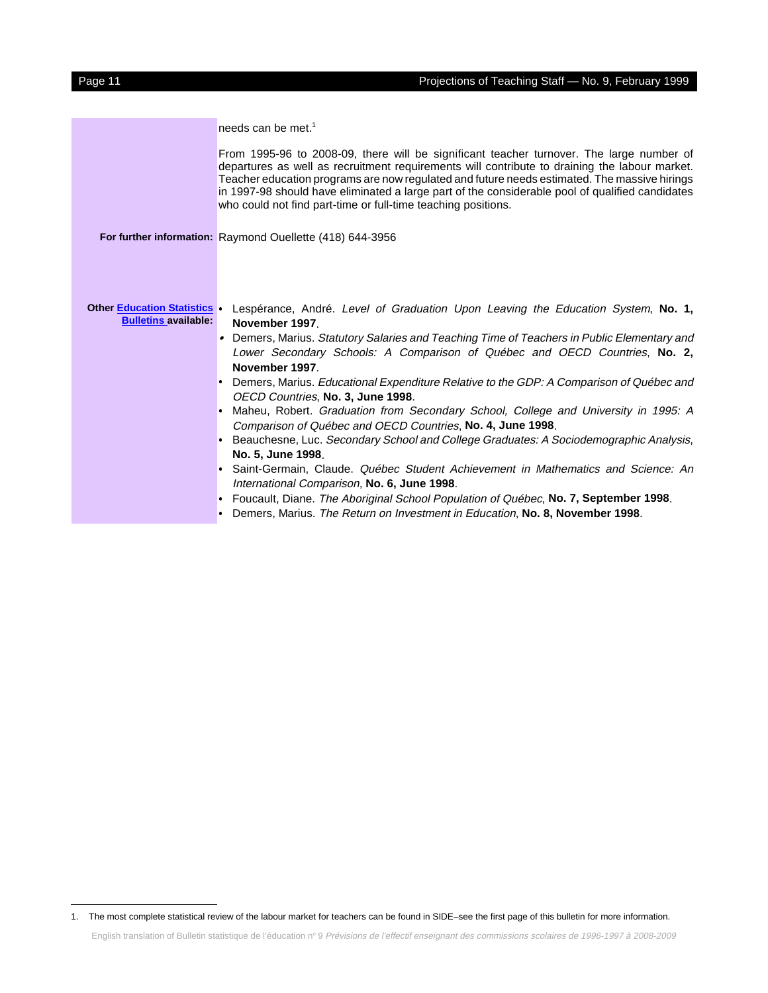|                                                                  | needs can be met. <sup>1</sup>                                                                                                                                                                                                                                                                                                                                                                                                                                |
|------------------------------------------------------------------|---------------------------------------------------------------------------------------------------------------------------------------------------------------------------------------------------------------------------------------------------------------------------------------------------------------------------------------------------------------------------------------------------------------------------------------------------------------|
|                                                                  | From 1995-96 to 2008-09, there will be significant teacher turnover. The large number of<br>departures as well as recruitment requirements will contribute to draining the labour market.<br>Teacher education programs are now regulated and future needs estimated. The massive hirings<br>in 1997-98 should have eliminated a large part of the considerable pool of qualified candidates<br>who could not find part-time or full-time teaching positions. |
|                                                                  | For further information: Raymond Ouellette (418) 644-3956                                                                                                                                                                                                                                                                                                                                                                                                     |
|                                                                  |                                                                                                                                                                                                                                                                                                                                                                                                                                                               |
|                                                                  |                                                                                                                                                                                                                                                                                                                                                                                                                                                               |
|                                                                  |                                                                                                                                                                                                                                                                                                                                                                                                                                                               |
| <b>Other Education Statistics</b><br><b>Bulletins available:</b> | Lespérance, André. Level of Graduation Upon Leaving the Education System, No. 1,<br>November 1997.                                                                                                                                                                                                                                                                                                                                                            |
|                                                                  | Demers, Marius. Statutory Salaries and Teaching Time of Teachers in Public Elementary and<br>Lower Secondary Schools: A Comparison of Québec and OECD Countries, No. 2,<br>November 1997.                                                                                                                                                                                                                                                                     |
|                                                                  | Demers, Marius. Educational Expenditure Relative to the GDP: A Comparison of Québec and<br>OECD Countries, No. 3, June 1998.                                                                                                                                                                                                                                                                                                                                  |
|                                                                  | Maheu, Robert. Graduation from Secondary School, College and University in 1995: A<br>٠<br>Comparison of Québec and OECD Countries, No. 4, June 1998.                                                                                                                                                                                                                                                                                                         |
|                                                                  | Beauchesne, Luc. Secondary School and College Graduates: A Sociodemographic Analysis,                                                                                                                                                                                                                                                                                                                                                                         |
|                                                                  | No. 5, June 1998.                                                                                                                                                                                                                                                                                                                                                                                                                                             |
|                                                                  | Saint-Germain, Claude. Québec Student Achievement in Mathematics and Science: An<br>$\bullet$                                                                                                                                                                                                                                                                                                                                                                 |
|                                                                  | International Comparison, No. 6, June 1998.                                                                                                                                                                                                                                                                                                                                                                                                                   |
|                                                                  | Foucault, Diane. The Aboriginal School Population of Québec, No. 7, September 1998.<br>۰                                                                                                                                                                                                                                                                                                                                                                      |
|                                                                  | Demers, Marius. The Return on Investment in Education, No. 8, November 1998.                                                                                                                                                                                                                                                                                                                                                                                  |

<sup>1.</sup> The most complete statistical review of the labour market for teachers can be found in SIDE–see the first page of this bulletin for more information.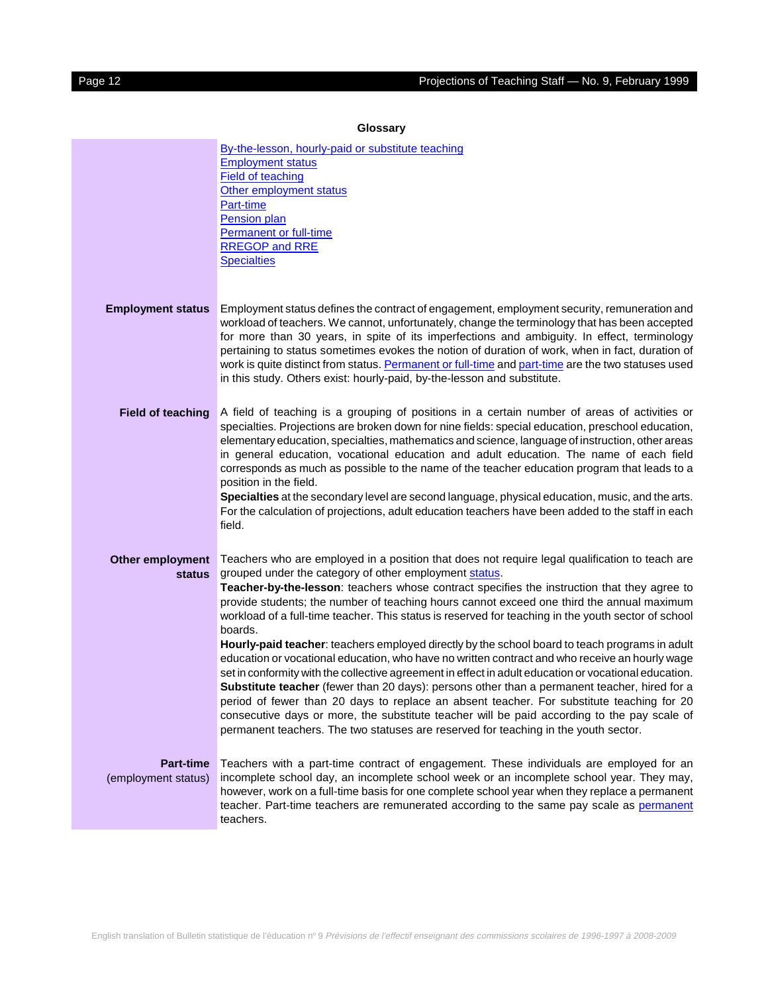<span id="page-11-0"></span>

| Giussai y                                |                                                                                                                                                                                                                                                                                                                                                                                                                                                                                                                                                                                                                                                                                                                                                                                                                                                                                                                                                                                                                                                                                                                                                                        |  |  |  |  |  |
|------------------------------------------|------------------------------------------------------------------------------------------------------------------------------------------------------------------------------------------------------------------------------------------------------------------------------------------------------------------------------------------------------------------------------------------------------------------------------------------------------------------------------------------------------------------------------------------------------------------------------------------------------------------------------------------------------------------------------------------------------------------------------------------------------------------------------------------------------------------------------------------------------------------------------------------------------------------------------------------------------------------------------------------------------------------------------------------------------------------------------------------------------------------------------------------------------------------------|--|--|--|--|--|
|                                          | By-the-lesson, hourly-paid or substitute teaching<br><b>Employment status</b><br><b>Field of teaching</b><br>Other employment status<br>Part-time<br>Pension plan<br><b>Permanent or full-time</b><br><b>RREGOP and RRE</b><br><b>Specialties</b>                                                                                                                                                                                                                                                                                                                                                                                                                                                                                                                                                                                                                                                                                                                                                                                                                                                                                                                      |  |  |  |  |  |
| <b>Employment status</b>                 | Employment status defines the contract of engagement, employment security, remuneration and<br>workload of teachers. We cannot, unfortunately, change the terminology that has been accepted<br>for more than 30 years, in spite of its imperfections and ambiguity. In effect, terminology<br>pertaining to status sometimes evokes the notion of duration of work, when in fact, duration of<br>work is quite distinct from status. Permanent or full-time and part-time are the two statuses used<br>in this study. Others exist: hourly-paid, by-the-lesson and substitute.                                                                                                                                                                                                                                                                                                                                                                                                                                                                                                                                                                                        |  |  |  |  |  |
| <b>Field of teaching</b>                 | A field of teaching is a grouping of positions in a certain number of areas of activities or<br>specialties. Projections are broken down for nine fields: special education, preschool education,<br>elementary education, specialties, mathematics and science, language of instruction, other areas<br>in general education, vocational education and adult education. The name of each field<br>corresponds as much as possible to the name of the teacher education program that leads to a<br>position in the field.<br>Specialties at the secondary level are second language, physical education, music, and the arts.<br>For the calculation of projections, adult education teachers have been added to the staff in each<br>field.                                                                                                                                                                                                                                                                                                                                                                                                                           |  |  |  |  |  |
| <b>Other employment</b><br><b>status</b> | Teachers who are employed in a position that does not require legal qualification to teach are<br>grouped under the category of other employment status.<br>Teacher-by-the-lesson: teachers whose contract specifies the instruction that they agree to<br>provide students; the number of teaching hours cannot exceed one third the annual maximum<br>workload of a full-time teacher. This status is reserved for teaching in the youth sector of school<br>boards.<br>Hourly-paid teacher: teachers employed directly by the school board to teach programs in adult<br>education or vocational education, who have no written contract and who receive an hourly wage<br>set in conformity with the collective agreement in effect in adult education or vocational education.<br>Substitute teacher (fewer than 20 days): persons other than a permanent teacher, hired for a<br>period of fewer than 20 days to replace an absent teacher. For substitute teaching for 20<br>consecutive days or more, the substitute teacher will be paid according to the pay scale of<br>permanent teachers. The two statuses are reserved for teaching in the youth sector. |  |  |  |  |  |
| <b>Part-time</b><br>(employment status)  | Teachers with a part-time contract of engagement. These individuals are employed for an<br>incomplete school day, an incomplete school week or an incomplete school year. They may,<br>however, work on a full-time basis for one complete school year when they replace a permanent<br>teacher. Part-time teachers are remunerated according to the same pay scale as permanent<br>teachers.                                                                                                                                                                                                                                                                                                                                                                                                                                                                                                                                                                                                                                                                                                                                                                          |  |  |  |  |  |

### **Glossary**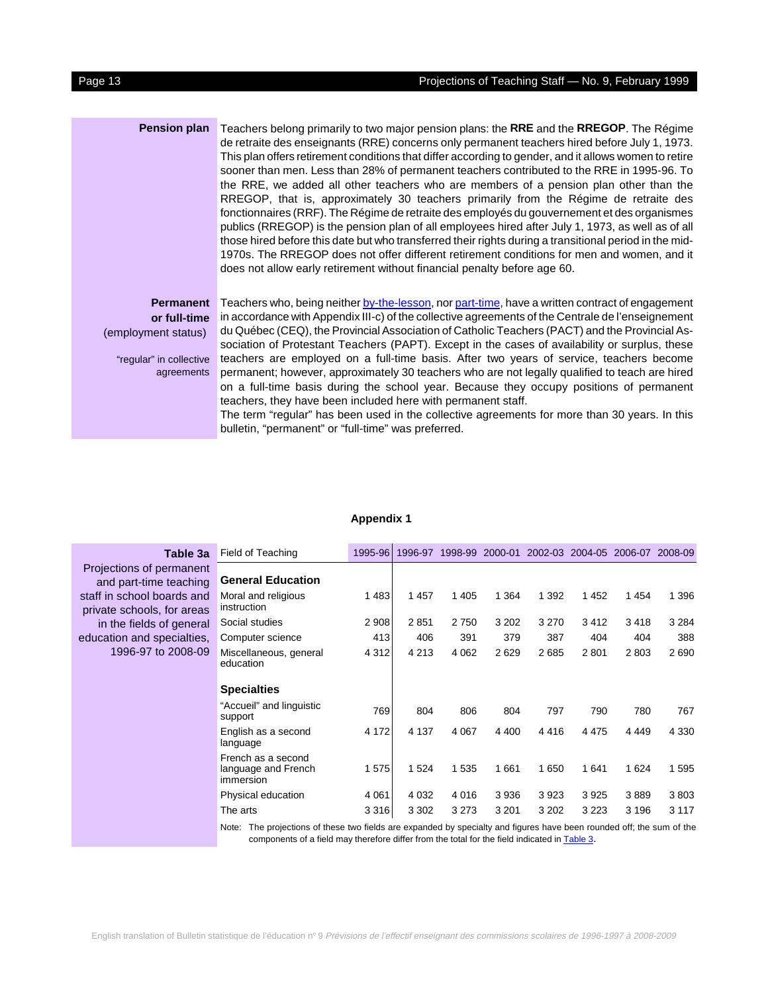<span id="page-12-0"></span>**Pension plan** Teachers belong primarily to two major pension plans: the **RRE** and the **RREGOP**. The Régime de retraite des enseignants (RRE) concerns only permanent teachers hired before July 1, 1973. This plan offers retirement conditions that differ according to gender, and it allows women to retire sooner than men. Less than 28% of permanent teachers contributed to the RRE in 1995-96. To the RRE, we added all other teachers who are members of a pension plan other than the RREGOP, that is, approximately 30 teachers primarily from the Régime de retraite des fonctionnaires (RRF). The Régime de retraite des employés du gouvernement et des organismes publics (RREGOP) is the pension plan of all employees hired after July 1, 1973, as well as of all those hired before this date but who transferred their rights during a transitional period in the mid-1970s. The RREGOP does not offer different retirement conditions for men and women, and it does not allow early retirement without financial penalty before age 60.

**Permanent or full-time** (employment status)

"regular" in collective agreements

Teachers who, being neithe[r by-the-lesson,](#page-11-0) no[r part-time, h](#page-11-0)ave a written contract of engagement in accordance with Appendix III-c) of the collective agreements of the Centrale de l'enseignement du Québec (CEQ), the Provincial Association of Catholic Teachers (PACT) and the Provincial Association of Protestant Teachers (PAPT). Except in the cases of availability or surplus, these teachers are employed on a full-time basis. After two years of service, teachers become permanent; however, approximately 30 teachers who are not legally qualified to teach are hired on a full-time basis during the school year. Because they occupy positions of permanent teachers, they have been included here with permanent staff.

The term "regular" has been used in the collective agreements for more than 30 years. In this bulletin, "permanent" or "full-time" was preferred.

#### **Appendix 1**

| Table 3a                                                 | Field of Teaching                                                                                                    | 1995-96 | 1996-97 | 1998-99 | 2000-01 | 2002-03 | 2004-05 | 2006-07 2008-09 |         |
|----------------------------------------------------------|----------------------------------------------------------------------------------------------------------------------|---------|---------|---------|---------|---------|---------|-----------------|---------|
| Projections of permanent<br>and part-time teaching       | <b>General Education</b>                                                                                             |         |         |         |         |         |         |                 |         |
| staff in school boards and<br>private schools, for areas | Moral and religious<br>instruction                                                                                   | 1483    | 1 4 5 7 | 1 4 0 5 | 1 3 6 4 | 1 3 9 2 | 1452    | 1454            | 1 3 9 6 |
| in the fields of general                                 | Social studies                                                                                                       | 2 9 0 8 | 2851    | 2750    | 3 2 0 2 | 3 2 7 0 | 3412    | 3418            | 3 2 8 4 |
| education and specialties,                               | Computer science                                                                                                     | 413     | 406     | 391     | 379     | 387     | 404     | 404             | 388     |
| 1996-97 to 2008-09                                       | Miscellaneous, general<br>education                                                                                  | 4 3 1 2 | 4 2 1 3 | 4 0 6 2 | 2629    | 2685    | 2801    | 2803            | 2690    |
|                                                          | <b>Specialties</b>                                                                                                   |         |         |         |         |         |         |                 |         |
|                                                          | "Accueil" and linguistic<br>support                                                                                  | 769     | 804     | 806     | 804     | 797     | 790     | 780             | 767     |
|                                                          | English as a second<br>language                                                                                      | 4 172   | 4 1 3 7 | 4 0 6 7 | 4 4 0 0 | 4416    | 4 4 7 5 | 4 4 4 9         | 4 3 3 0 |
|                                                          | French as a second<br>language and French<br>immersion                                                               | 1575    | 1 5 2 4 | 1 5 3 5 | 1661    | 1 650   | 1641    | 1 6 2 4         | 1 5 9 5 |
|                                                          | Physical education                                                                                                   | 4 0 61  | 4 0 3 2 | 4 0 1 6 | 3936    | 3923    | 3925    | 3889            | 3803    |
|                                                          | The arts                                                                                                             | 3 3 1 6 | 3 3 0 2 | 3 2 7 3 | 3 2 0 1 | 3 2 0 2 | 3 2 2 3 | 3 1 9 6         | 3 1 1 7 |
|                                                          | Nata: The projections of these two fields are expended by epocially and figures hous hoop revolad off the sum of the |         |         |         |         |         |         |                 |         |

Note: The projections of these two fields are expanded by specialty and figures have been rounded off; the sum of the components of a field may therefore differ from the total for the field indicated i[n Table 3.](#page-5-0)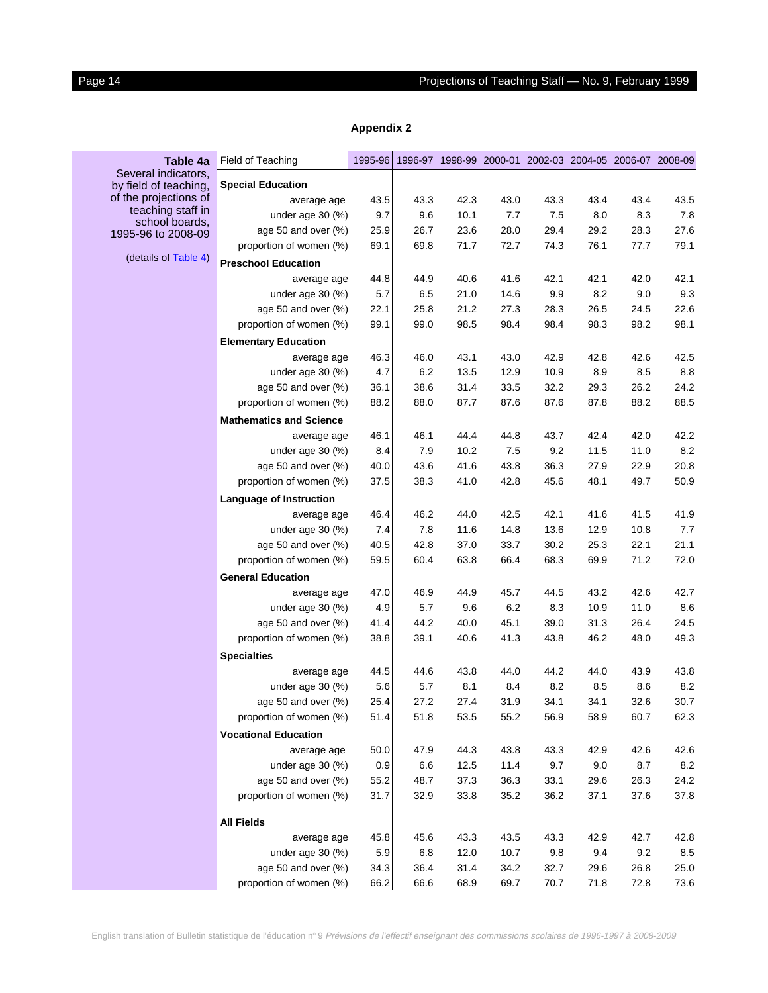# <span id="page-13-0"></span>Page 14 **Projections of Teaching Staff — No. 9, February 1999**

| Table 4a                                     | Field of Teaching              | 1995-96 |         |      | 1996-97 1998-99 2000-01 2002-03 2004-05 2006-07 2008-09 |      |      |      |         |
|----------------------------------------------|--------------------------------|---------|---------|------|---------------------------------------------------------|------|------|------|---------|
| Several indicators,<br>by field of teaching, | <b>Special Education</b>       |         |         |      |                                                         |      |      |      |         |
| of the projections of                        | average age                    | 43.5    | 43.3    | 42.3 | 43.0                                                    | 43.3 | 43.4 | 43.4 | 43.5    |
| teaching staff in                            | under age $30$ (%)             | 9.7     | 9.6     | 10.1 | 7.7                                                     | 7.5  | 8.0  | 8.3  | 7.8     |
| school boards,<br>1995-96 to 2008-09         | age 50 and over (%)            | 25.9    | 26.7    | 23.6 | 28.0                                                    | 29.4 | 29.2 | 28.3 | 27.6    |
|                                              | proportion of women (%)        | 69.1    | 69.8    | 71.7 | 72.7                                                    | 74.3 | 76.1 | 77.7 | 79.1    |
| (details of <b>Table 4)</b>                  | <b>Preschool Education</b>     |         |         |      |                                                         |      |      |      |         |
|                                              | average age                    | 44.8    | 44.9    | 40.6 | 41.6                                                    | 42.1 | 42.1 | 42.0 | 42.1    |
|                                              | under age $30$ (%)             | 5.7     | 6.5     | 21.0 | 14.6                                                    | 9.9  | 8.2  | 9.0  | 9.3     |
|                                              | age 50 and over (%)            | 22.1    | 25.8    | 21.2 | 27.3                                                    | 28.3 | 26.5 | 24.5 | 22.6    |
|                                              | proportion of women (%)        | 99.1    | 99.0    | 98.5 | 98.4                                                    | 98.4 | 98.3 | 98.2 | 98.1    |
|                                              | <b>Elementary Education</b>    |         |         |      |                                                         |      |      |      |         |
|                                              | average age                    | 46.3    | 46.0    | 43.1 | 43.0                                                    | 42.9 | 42.8 | 42.6 | 42.5    |
|                                              | under age $30$ (%)             | 4.7     | 6.2     | 13.5 | 12.9                                                    | 10.9 | 8.9  | 8.5  | 8.8     |
|                                              | age 50 and over (%)            | 36.1    | 38.6    | 31.4 | 33.5                                                    | 32.2 | 29.3 | 26.2 | 24.2    |
|                                              | proportion of women (%)        | 88.2    | 88.0    | 87.7 | 87.6                                                    | 87.6 | 87.8 | 88.2 | 88.5    |
|                                              | <b>Mathematics and Science</b> |         |         |      |                                                         |      |      |      |         |
|                                              | average age                    | 46.1    | 46.1    | 44.4 | 44.8                                                    | 43.7 | 42.4 | 42.0 | 42.2    |
|                                              | under age $30$ (%)             | 8.4     | 7.9     | 10.2 | 7.5                                                     | 9.2  | 11.5 | 11.0 | 8.2     |
|                                              | age 50 and over (%)            | 40.0    | 43.6    | 41.6 | 43.8                                                    | 36.3 | 27.9 | 22.9 | 20.8    |
|                                              | proportion of women (%)        | 37.5    | 38.3    | 41.0 | 42.8                                                    | 45.6 | 48.1 | 49.7 | 50.9    |
|                                              | Language of Instruction        |         |         |      |                                                         |      |      |      |         |
|                                              | average age                    | 46.4    | 46.2    | 44.0 | 42.5                                                    | 42.1 | 41.6 | 41.5 | 41.9    |
|                                              | under age 30 (%)               | 7.4     | 7.8     | 11.6 | 14.8                                                    | 13.6 | 12.9 | 10.8 | 7.7     |
|                                              | age 50 and over (%)            | 40.5    | 42.8    | 37.0 | 33.7                                                    | 30.2 | 25.3 | 22.1 | 21.1    |
|                                              | proportion of women (%)        | 59.5    | 60.4    | 63.8 | 66.4                                                    | 68.3 | 69.9 | 71.2 | 72.0    |
|                                              | <b>General Education</b>       |         |         |      |                                                         |      |      |      |         |
|                                              | average age                    | 47.0    | 46.9    | 44.9 | 45.7                                                    | 44.5 | 43.2 | 42.6 | 42.7    |
|                                              | under age $30$ (%)             | 4.9     | 5.7     | 9.6  | 6.2                                                     | 8.3  | 10.9 | 11.0 | 8.6     |
|                                              | age 50 and over (%)            | 41.4    | 44.2    | 40.0 | 45.1                                                    | 39.0 | 31.3 | 26.4 | 24.5    |
|                                              | proportion of women (%)        | 38.8    | 39.1    | 40.6 | 41.3                                                    | 43.8 | 46.2 | 48.0 | 49.3    |
|                                              | <b>Specialties</b>             |         |         |      |                                                         |      |      |      |         |
|                                              | average age                    | 44.5    | 44.6    | 43.8 | 44.0                                                    | 44.2 | 44.0 | 43.9 | 43.8    |
|                                              | under age $30$ (%)             | 5.6     | 5.7     | 8.1  | 8.4                                                     | 8.2  | 8.5  | 8.6  | 8.2     |
|                                              | age 50 and over (%)            | 25.4    | 27.2    | 27.4 | 31.9                                                    | 34.1 | 34.1 | 32.6 | 30.7    |
|                                              | proportion of women (%)        | 51.4    | 51.8    | 53.5 | 55.2                                                    | 56.9 | 58.9 | 60.7 | 62.3    |
|                                              | <b>Vocational Education</b>    |         |         |      |                                                         |      |      |      |         |
|                                              | average age                    | 50.0    | 47.9    | 44.3 | 43.8                                                    | 43.3 | 42.9 | 42.6 | 42.6    |
|                                              | under age $30$ (%)             | 0.9     | 6.6     | 12.5 | 11.4                                                    | 9.7  | 9.0  | 8.7  | $8.2\,$ |
|                                              | age 50 and over (%)            | 55.2    | 48.7    | 37.3 | 36.3                                                    | 33.1 | 29.6 | 26.3 | 24.2    |
|                                              | proportion of women (%)        | 31.7    | 32.9    | 33.8 | 35.2                                                    | 36.2 | 37.1 | 37.6 | 37.8    |
|                                              | <b>All Fields</b>              |         |         |      |                                                         |      |      |      |         |
|                                              | average age                    | 45.8    | 45.6    | 43.3 | 43.5                                                    | 43.3 | 42.9 | 42.7 | 42.8    |
|                                              | under age 30 (%)               | 5.9     | $6.8\,$ | 12.0 | 10.7                                                    | 9.8  | 9.4  | 9.2  | $8.5\,$ |
|                                              | age 50 and over (%)            | 34.3    | 36.4    | 31.4 | 34.2                                                    | 32.7 | 29.6 | 26.8 | 25.0    |
|                                              | proportion of women (%)        | 66.2    | 66.6    | 68.9 | 69.7                                                    | 70.7 | 71.8 | 72.8 | 73.6    |

### **Appendix 2**